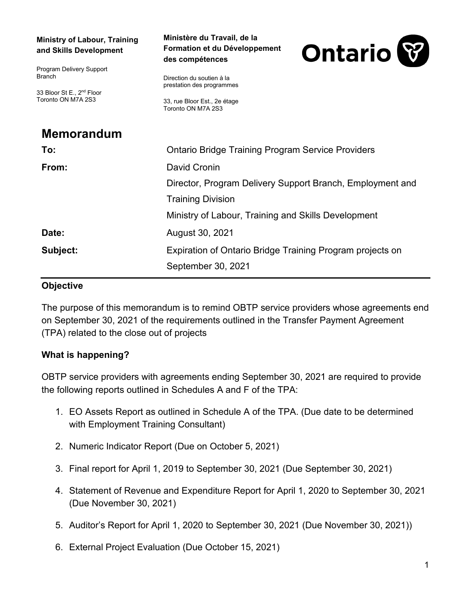| <b>Ministry of Labour, Training</b><br>and Skills Development | Ministère du Travail, de la<br>Formation et du Développement<br>des compétences | <b>Ontario</b> |
|---------------------------------------------------------------|---------------------------------------------------------------------------------|----------------|
| Program Delivery Support<br><b>Branch</b>                     | Direction du soutien à la<br>prestation des programmes                          |                |
| 33 Bloor St E., 2 <sup>nd</sup> Floor<br>Toronto ON M7A 2S3   | 33, rue Bloor Est., 2e étage<br>Toronto ON M7A 2S3                              |                |
| <b>Memorandum</b>                                             |                                                                                 |                |
| To:                                                           | <b>Ontario Bridge Training Program Service Providers</b>                        |                |
| From:                                                         | David Cronin                                                                    |                |
|                                                               | Director, Program Delivery Support Branch, Employment and                       |                |
|                                                               | <b>Training Division</b>                                                        |                |
|                                                               | Ministry of Labour, Training and Skills Development                             |                |
| Date:                                                         | August 30, 2021                                                                 |                |
| Subject:                                                      | Expiration of Ontario Bridge Training Program projects on                       |                |
|                                                               | September 30, 2021                                                              |                |

#### **Objective**

The purpose of this memorandum is to remind OBTP service providers whose agreements end on September 30, 2021 of the requirements outlined in the Transfer Payment Agreement (TPA) related to the close out of projects

# **What is happening?**

OBTP service providers with agreements ending September 30, 2021 are required to provide the following reports outlined in Schedules A and F of the TPA:

- 1. EO Assets Report as outlined in Schedule A of the TPA. (Due date to be determined with Employment Training Consultant)
- 2. Numeric Indicator Report (Due on October 5, 2021)
- 3. Final report for April 1, 2019 to September 30, 2021 (Due September 30, 2021)
- 4. Statement of Revenue and Expenditure Report for April 1, 2020 to September 30, 2021 (Due November 30, 2021)
- 5. Auditor's Report for April 1, 2020 to September 30, 2021 (Due November 30, 2021))
- 6. External Project Evaluation (Due October 15, 2021)